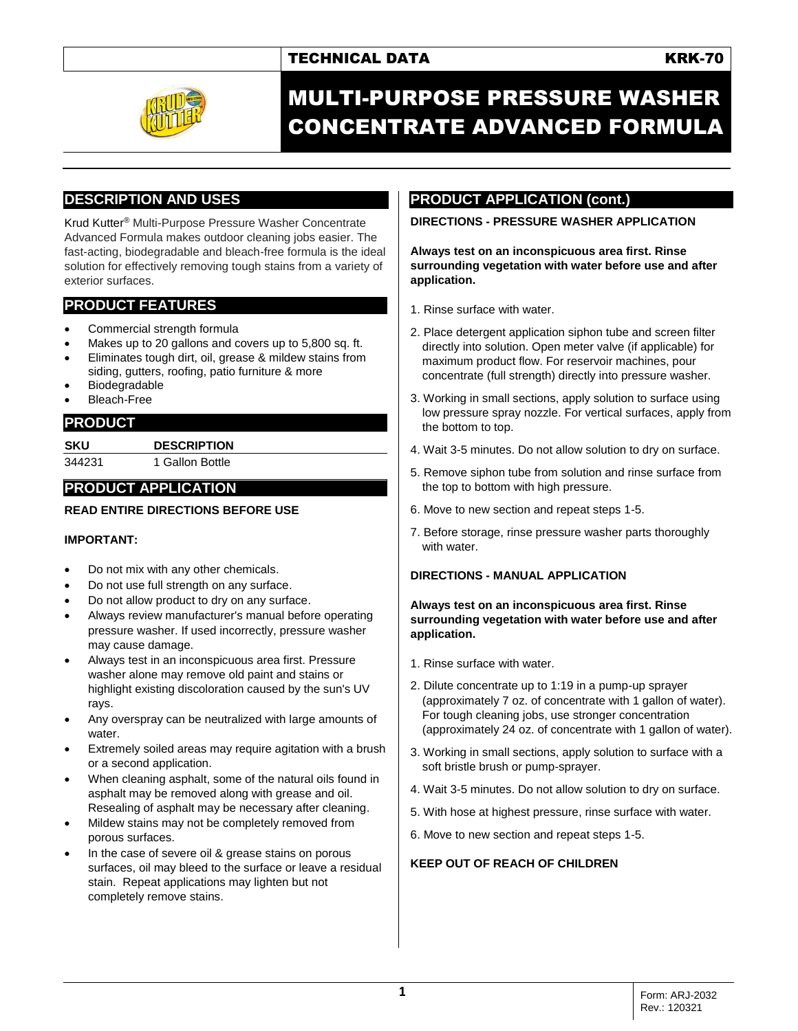# TECHNICAL DATA **KRK-70**



# MULTI-PURPOSE PRESSURE WASHER CONCENTRATE ADVANCED FORMULA

# **DESCRIPTION AND USES**

Krud Kutter® Multi-Purpose Pressure Washer Concentrate Advanced Formula makes outdoor cleaning jobs easier. The fast-acting, biodegradable and bleach-free formula is the ideal solution for effectively removing tough stains from a variety of exterior surfaces.

## **PRODUCT FEATURES**

- Commercial strength formula
- Makes up to 20 gallons and covers up to 5,800 sq. ft.
- Eliminates tough dirt, oil, grease & mildew stains from siding, gutters, roofing, patio furniture & more
- **Biodegradable**
- Bleach-Free

## **PRODUCT**

**SKU DESCRIPTION** 344231 1 Gallon Bottle

# **PRODUCT APPLICATION**

### **READ ENTIRE DIRECTIONS BEFORE USE**

### **IMPORTANT:**

- Do not mix with any other chemicals.
- Do not use full strength on any surface.
- Do not allow product to dry on any surface.
- Always review manufacturer's manual before operating pressure washer. If used incorrectly, pressure washer may cause damage.
- Always test in an inconspicuous area first. Pressure washer alone may remove old paint and stains or highlight existing discoloration caused by the sun's UV rays.
- Any overspray can be neutralized with large amounts of water.
- Extremely soiled areas may require agitation with a brush or a second application.
- When cleaning asphalt, some of the natural oils found in asphalt may be removed along with grease and oil. Resealing of asphalt may be necessary after cleaning.
- Mildew stains may not be completely removed from porous surfaces.
- In the case of severe oil & grease stains on porous surfaces, oil may bleed to the surface or leave a residual stain. Repeat applications may lighten but not completely remove stains.

# **PRODUCT APPLICATION (cont.)**

**DIRECTIONS - PRESSURE WASHER APPLICATION**

**Always test on an inconspicuous area first. Rinse surrounding vegetation with water before use and after application.**

- 1. Rinse surface with water.
- 2. Place detergent application siphon tube and screen filter directly into solution. Open meter valve (if applicable) for maximum product flow. For reservoir machines, pour concentrate (full strength) directly into pressure washer.
- 3. Working in small sections, apply solution to surface using low pressure spray nozzle. For vertical surfaces, apply from the bottom to top.
- 4. Wait 3-5 minutes. Do not allow solution to dry on surface.
- 5. Remove siphon tube from solution and rinse surface from the top to bottom with high pressure.
- 6. Move to new section and repeat steps 1-5.
- 7. Before storage, rinse pressure washer parts thoroughly with water.

### **DIRECTIONS - MANUAL APPLICATION**

#### **Always test on an inconspicuous area first. Rinse surrounding vegetation with water before use and after application.**

- 1. Rinse surface with water.
- 2. Dilute concentrate up to 1:19 in a pump-up sprayer (approximately 7 oz. of concentrate with 1 gallon of water). For tough cleaning jobs, use stronger concentration (approximately 24 oz. of concentrate with 1 gallon of water).
- 3. Working in small sections, apply solution to surface with a soft bristle brush or pump-sprayer.
- 4. Wait 3-5 minutes. Do not allow solution to dry on surface.
- 5. With hose at highest pressure, rinse surface with water.
- 6. Move to new section and repeat steps 1-5.

### **KEEP OUT OF REACH OF CHILDREN**